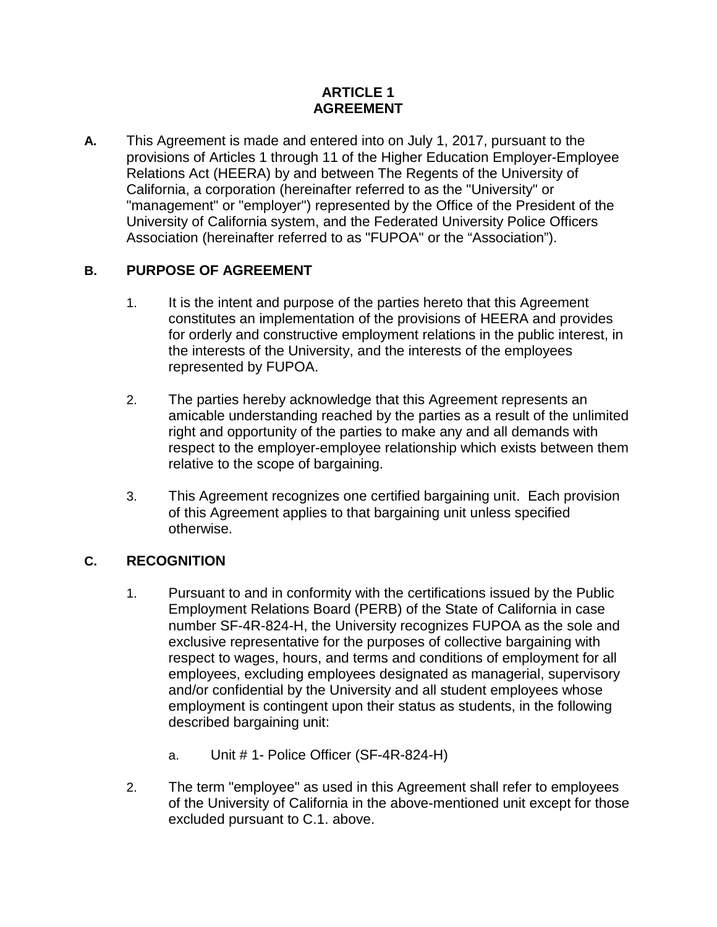#### **ARTICLE 1 AGREEMENT**

**A.** This Agreement is made and entered into on July 1, 2017, pursuant to the provisions of Articles 1 through 11 of the Higher Education Employer-Employee Relations Act (HEERA) by and between The Regents of the University of California, a corporation (hereinafter referred to as the "University" or "management" or "employer") represented by the Office of the President of the University of California system, and the Federated University Police Officers Association (hereinafter referred to as "FUPOA" or the "Association").

## **B. PURPOSE OF AGREEMENT**

- 1. It is the intent and purpose of the parties hereto that this Agreement constitutes an implementation of the provisions of HEERA and provides for orderly and constructive employment relations in the public interest, in the interests of the University, and the interests of the employees represented by FUPOA.
- 2. The parties hereby acknowledge that this Agreement represents an amicable understanding reached by the parties as a result of the unlimited right and opportunity of the parties to make any and all demands with respect to the employer-employee relationship which exists between them relative to the scope of bargaining.
- 3. This Agreement recognizes one certified bargaining unit. Each provision of this Agreement applies to that bargaining unit unless specified otherwise.

# **C. RECOGNITION**

- 1. Pursuant to and in conformity with the certifications issued by the Public Employment Relations Board (PERB) of the State of California in case number SF-4R-824-H, the University recognizes FUPOA as the sole and exclusive representative for the purposes of collective bargaining with respect to wages, hours, and terms and conditions of employment for all employees, excluding employees designated as managerial, supervisory and/or confidential by the University and all student employees whose employment is contingent upon their status as students, in the following described bargaining unit:
	- a. Unit # 1- Police Officer (SF-4R-824-H)
- 2. The term "employee" as used in this Agreement shall refer to employees of the University of California in the above-mentioned unit except for those excluded pursuant to C.1. above.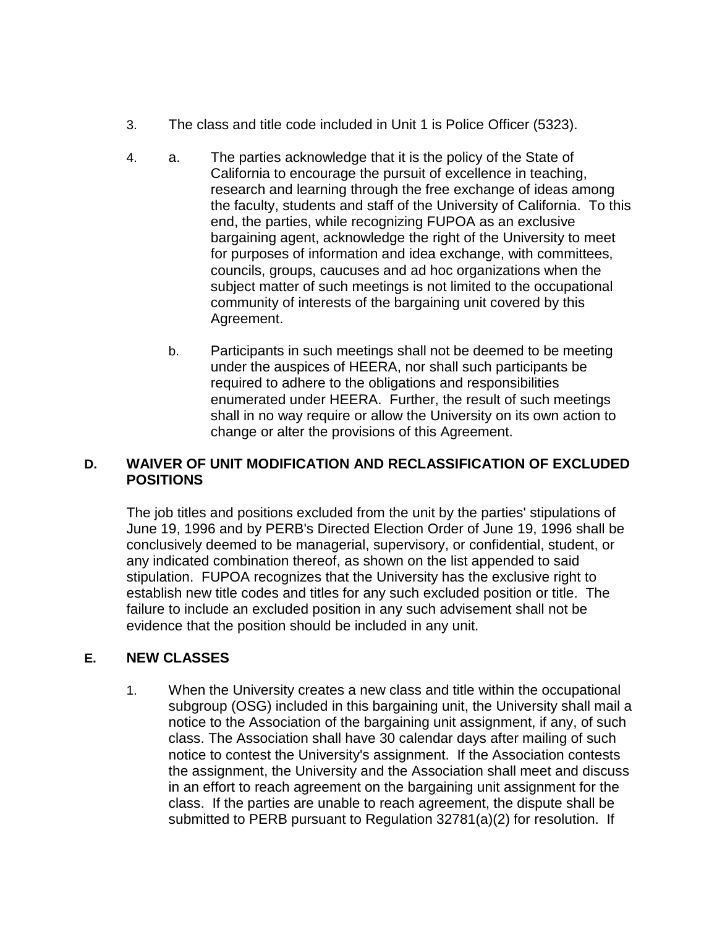- 3. The class and title code included in Unit 1 is Police Officer (5323).
- 4. a. The parties acknowledge that it is the policy of the State of California to encourage the pursuit of excellence in teaching, research and learning through the free exchange of ideas among the faculty, students and staff of the University of California. To this end, the parties, while recognizing FUPOA as an exclusive bargaining agent, acknowledge the right of the University to meet for purposes of information and idea exchange, with committees, councils, groups, caucuses and ad hoc organizations when the subject matter of such meetings is not limited to the occupational community of interests of the bargaining unit covered by this Agreement.
	- b. Participants in such meetings shall not be deemed to be meeting under the auspices of HEERA, nor shall such participants be required to adhere to the obligations and responsibilities enumerated under HEERA. Further, the result of such meetings shall in no way require or allow the University on its own action to change or alter the provisions of this Agreement.

#### **D. WAIVER OF UNIT MODIFICATION AND RECLASSIFICATION OF EXCLUDED POSITIONS**

The job titles and positions excluded from the unit by the parties' stipulations of June 19, 1996 and by PERB's Directed Election Order of June 19, 1996 shall be conclusively deemed to be managerial, supervisory, or confidential, student, or any indicated combination thereof, as shown on the list appended to said stipulation. FUPOA recognizes that the University has the exclusive right to establish new title codes and titles for any such excluded position or title. The failure to include an excluded position in any such advisement shall not be evidence that the position should be included in any unit.

### **E. NEW CLASSES**

1. When the University creates a new class and title within the occupational subgroup (OSG) included in this bargaining unit, the University shall mail a notice to the Association of the bargaining unit assignment, if any, of such class. The Association shall have 30 calendar days after mailing of such notice to contest the University's assignment. If the Association contests the assignment, the University and the Association shall meet and discuss in an effort to reach agreement on the bargaining unit assignment for the class. If the parties are unable to reach agreement, the dispute shall be submitted to PERB pursuant to Regulation 32781(a)(2) for resolution. If